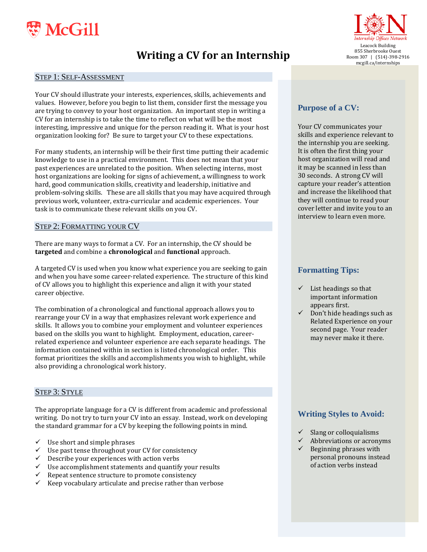

# **Writing a CV for an Internship**

#### STEP 1: SELF-ASSESSMENT

Your CV should illustrate your interests, experiences, skills, achievements and values. However, before you begin to list them, consider first the message you are trying to convey to your host organization. An important step in writing a CV for an internship is to take the time to reflect on what will be the most interesting, impressive and unique for the person reading it. What is your host organization looking for? Be sure to target your CV to these expectations.

For many students, an internship will be their first time putting their academic knowledge to use in a practical environment. This does not mean that your past experiences are unrelated to the position. When selecting interns, most host organizations are looking for signs of achievement, a willingness to work hard, good communication skills, creativity and leadership, initiative and problem-solving skills. These are all skills that you may have acquired through previous work, volunteer, extra-curricular and academic experiences. Your task is to communicate these relevant skills on you CV.

### STEP 2: FORMATTING YOUR CV

There are many ways to format a CV. For an internship, the CV should be **targeted** and combine a **chronological** and **functional** approach.

A targeted CV is used when you know what experience you are seeking to gain and when you have some career-related experience. The structure of this kind of CV allows you to highlight this experience and align it with your stated career objective.

The combination of a chronological and functional approach allows you to rearrange your CV in a way that emphasizes relevant work experience and skills. It allows you to combine your employment and volunteer experiences based on the skills you want to highlight. Employment, education, careerrelated experience and volunteer experience are each separate headings. The information contained within in section is listed chronological order. This format prioritizes the skills and accomplishments you wish to highlight, while also providing a chronological work history.

### STEP 3: STYLE

The appropriate language for a CV is different from academic and professional writing. Do not try to turn your CV into an essay. Instead, work on developing the standard grammar for a CV by keeping the following points in mind.

- $\checkmark$  Use short and simple phrases
- Use past tense throughout your CV for consistency
- Describe your experiences with action verbs
- Use accomplishment statements and quantify your results
- Epeat sentence structure to promote consistency<br>  $\checkmark$  Keep vocabulary articulate and precise rather than
- Keep vocabulary articulate and precise rather than verbose



#### **Purpose of a CV:**

Your CV communicates your skills and experience relevant to the internship you are seeking. It is often the first thing your host organization will read and it may be scanned in less than 30 seconds. A strong CV will capture your reader's attention and increase the likelihood that they will continue to read your cover letter and invite you to an interview to learn even more.

#### **Formatting Tips:**

- $\checkmark$  List headings so that important information appears first.
- Don't hide headings such as Related Experience on your second page. Your reader may never make it there.

# **Writing Styles to Avoid:**

- Slang or colloquialisms
- $\checkmark$  Abbreviations or acronyms
- $\checkmark$  Beginning phrases with personal pronouns instead of action verbs instead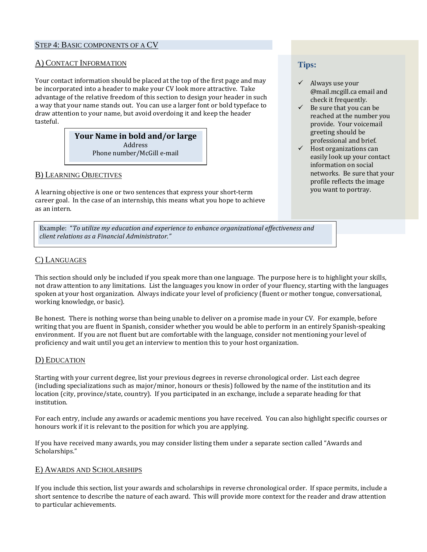### STEP 4: BASIC COMPONENTS OF A CV

### A) CONTACT INFORMATION

Your contact information should be placed at the top of the first page and may be incorporated into a header to make your CV look more attractive. Take advantage of the relative freedom of this section to design your header in such a way that your name stands out. You can use a larger font or bold typeface to draw attention to your name, but avoid overdoing it and keep the header tasteful.

### **Your Name in bold and/or large** Address Phone number/McGill e-mail

# B) LEARNING OBJECTIVES

A learning objective is one or two sentences that express your short-term career goal. In the case of an internship, this means what you hope to achieve as an intern.

Example: "*To utilize my education and experience to enhance organizational effectiveness and client relations as a Financial Administrator."*

# C) LANGUAGES

This section should only be included if you speak more than one language. The purpose here is to highlight your skills, not draw attention to any limitations. List the languages you know in order of your fluency, starting with the languages spoken at your host organization. Always indicate your level of proficiency (fluent or mother tongue, conversational, working knowledge, or basic).

Be honest. There is nothing worse than being unable to deliver on a promise made in your CV. For example, before writing that you are fluent in Spanish, consider whether you would be able to perform in an entirely Spanish-speaking environment. If you are not fluent but are comfortable with the language, consider not mentioning your level of proficiency and wait until you get an interview to mention this to your host organization.

# D) EDUCATION

Starting with your current degree, list your previous degrees in reverse chronological order. List each degree (including specializations such as major/minor, honours or thesis) followed by the name of the institution and its location (city, province/state, country). If you participated in an exchange, include a separate heading for that institution.

For each entry, include any awards or academic mentions you have received. You can also highlight specific courses or honours work if it is relevant to the position for which you are applying.

If you have received many awards, you may consider listing them under a separate section called "Awards and Scholarships."

### E) AWARDS AND SCHOLARSHIPS

If you include this section, list your awards and scholarships in reverse chronological order. If space permits, include a short sentence to describe the nature of each award. This will provide more context for the reader and draw attention to particular achievements.

# **Tips:**

- $\checkmark$  Always use your @mail.mcgill.ca email and check it frequently.
- $\checkmark$  Be sure that you can be reached at the number you provide. Your voicemail greeting should be professional and brief.
- $\checkmark$  Host organizations can easily look up your contact information on social networks. Be sure that your profile reflects the image you want to portray.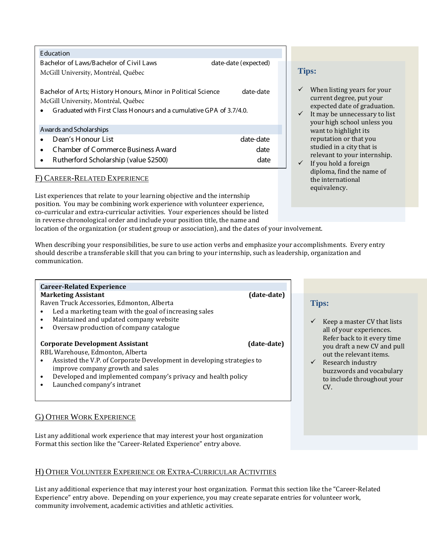| Education                                                                                                                                                                   |                      |
|-----------------------------------------------------------------------------------------------------------------------------------------------------------------------------|----------------------|
| Bachelor of Laws/Bachelor of Civil Laws                                                                                                                                     | date-date (expected) |
| McGill University, Montréal, Québec                                                                                                                                         |                      |
| Bachelor of Arts; History Honours, Minor in Political Science<br>McGill University, Montréal, Québec<br>Graduated with First Class Honours and a cumulative GPA of 3.7/4.0. | date-date            |
| Awards and Scholarships                                                                                                                                                     |                      |
| Dean's Honour List                                                                                                                                                          | date-date            |
| Chamber of Commerce Business A ward<br>$\bullet$                                                                                                                            | date                 |
| Rutherford Scholarship (value \$2500)<br>$\bullet$                                                                                                                          | date                 |

# F) CAREER-RELATED EXPERIENCE

List experiences that relate to your learning objective and the internship position. You may be combining work experience with volunteer experience, co-curricular and extra-curricular activities. Your experiences should be listed in reverse chronological order and include your position title, the name and

location of the organization (or student group or association), and the dates of your involvement.

When describing your responsibilities, be sure to use action verbs and emphasize your accomplishments. Every entry should describe a transferable skill that you can bring to your internship, such as leadership, organization and communication.

#### **Career-Related Experience Marketing Assistant** (date-date)

Raven Truck Accessories, Edmonton, Alberta

- Led a marketing team with the goal of increasing sales
- Maintained and updated company website<br>• Oversaw production of company catalogue
- Oversaw production of company catalogue

#### **Corporate Development Assistant (date-date)**

RBL Warehouse, Edmonton, Alberta

- Assisted the V.P. of Corporate Development in developing strategies to improve company growth and sales
- Developed and implemented company's privacy and health policy
- Launched company's intranet

# G) OTHER WORK EXPERIENCE

List any additional work experience that may interest your host organization Format this section like the "Career-Related Experience" entry above.

# H) OTHER VOLUNTEER EXPERIENCE OR EXTRA-CURRICULAR ACTIVITIES

List any additional experience that may interest your host organization. Format this section like the "Career-Related Experience" entry above. Depending on your experience, you may create separate entries for volunteer work, community involvement, academic activities and athletic activities.

# **Tips:**

- $\checkmark$  When listing years for your current degree, put your expected date of graduation.
- $\checkmark$  It may be unnecessary to list your high school unless you want to highlight its reputation or that you studied in a city that is relevant to your internship.
- If you hold a foreign diploma, find the name of the international equivalency.

# **Tips:**

- Keep a master CV that lists all of your experiences. Refer back to it every time you draft a new CV and pull out the relevant items.
- $\checkmark$  Research industry buzzwords and vocabulary to include throughout your CV.